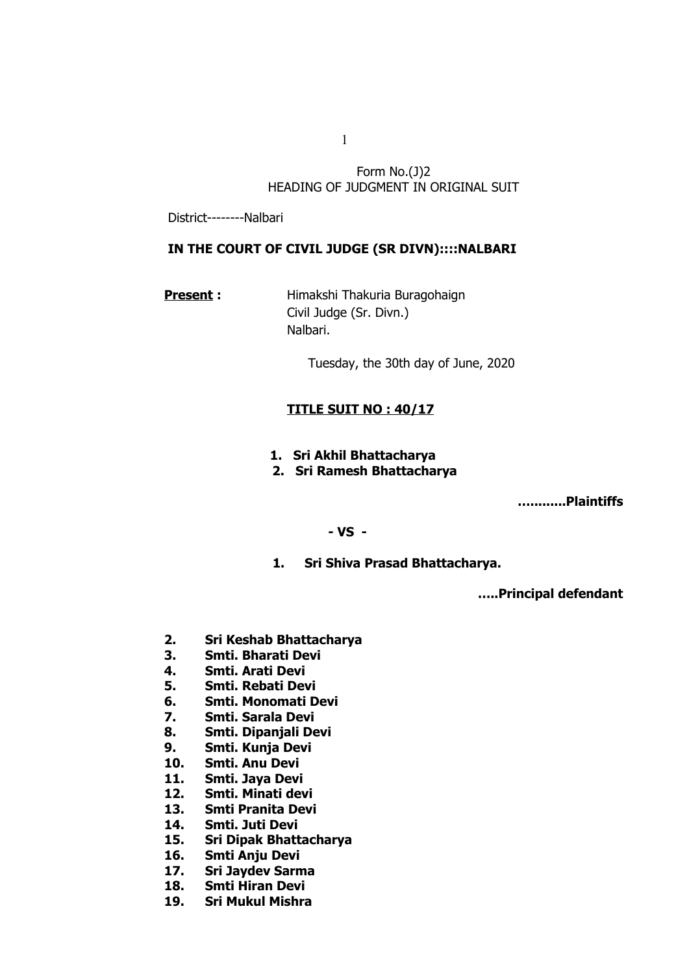Form No.(J)2 HEADING OF JUDGMENT IN ORIGINAL SUIT

District--------Nalbari

# IN THE COURT OF CIVIL JUDGE (SR DIVN)::::NALBARI

**Present :** Himakshi Thakuria Buragohaign Civil Judge (Sr. Divn.) Nalbari.

Tuesday, the 30th day of June, 2020

## **TITLE SUIT NO : 40/17**

**1. Sri Akhil Bhattacharya**

# **2. Sri Ramesh Bhattacharya**

 **….........Plaintiffs** 

#### **- VS -**

**1. Sri Shiva Prasad Bhattacharya.**

 **…..Principal defendant**

- **2. Sri Keshab Bhattacharya**
- **3. Smti. Bharati Devi**
- **4. Smti. Arati Devi**
- **5. Smti. Rebati Devi**
- **6. Smti. Monomati Devi**
- **7. Smti. Sarala Devi**
- **8. Smti. Dipanjali Devi**
- **9. Smti. Kunja Devi**
- **10. Smti. Anu Devi**
- **11. Smti. Jaya Devi**
- **12. Smti. Minati devi**
- **13. Smti Pranita Devi**
- **14. Smti. Juti Devi**
- **15. Sri Dipak Bhattacharya**
- **16. Smti Anju Devi**
- **17. Sri Jaydev Sarma**
- **18. Smti Hiran Devi**
- **19. Sri Mukul Mishra**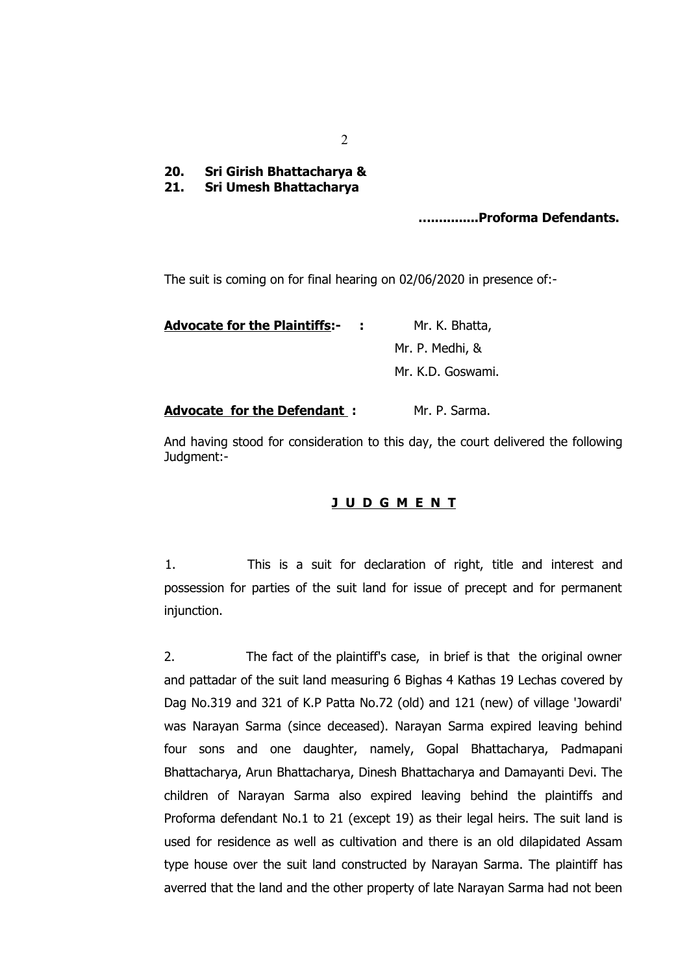- **20. Sri Girish Bhattacharya &**
- **21. Sri Umesh Bhattacharya**

## **…............Proforma Defendants.**

The suit is coming on for final hearing on 02/06/2020 in presence of:-

**Advocate for the Plaintiffs:- :** Mr. K. Bhatta, Mr. P. Medhi, & Mr. K.D. Goswami.

### Advocate for the Defendant : Mr. P. Sarma.

And having stood for consideration to this day, the court delivered the following Judgment:-

## **J U D G M E N T**

1. This is a suit for declaration of right, title and interest and possession for parties of the suit land for issue of precept and for permanent injunction.

2. The fact of the plaintiff's case, in brief is that the original owner and pattadar of the suit land measuring 6 Bighas 4 Kathas 19 Lechas covered by Dag No.319 and 321 of K.P Patta No.72 (old) and 121 (new) of village 'Jowardi' was Narayan Sarma (since deceased). Narayan Sarma expired leaving behind four sons and one daughter, namely, Gopal Bhattacharya, Padmapani Bhattacharya, Arun Bhattacharya, Dinesh Bhattacharya and Damayanti Devi. The children of Narayan Sarma also expired leaving behind the plaintiffs and Proforma defendant No.1 to 21 (except 19) as their legal heirs. The suit land is used for residence as well as cultivation and there is an old dilapidated Assam type house over the suit land constructed by Narayan Sarma. The plaintiff has averred that the land and the other property of late Narayan Sarma had not been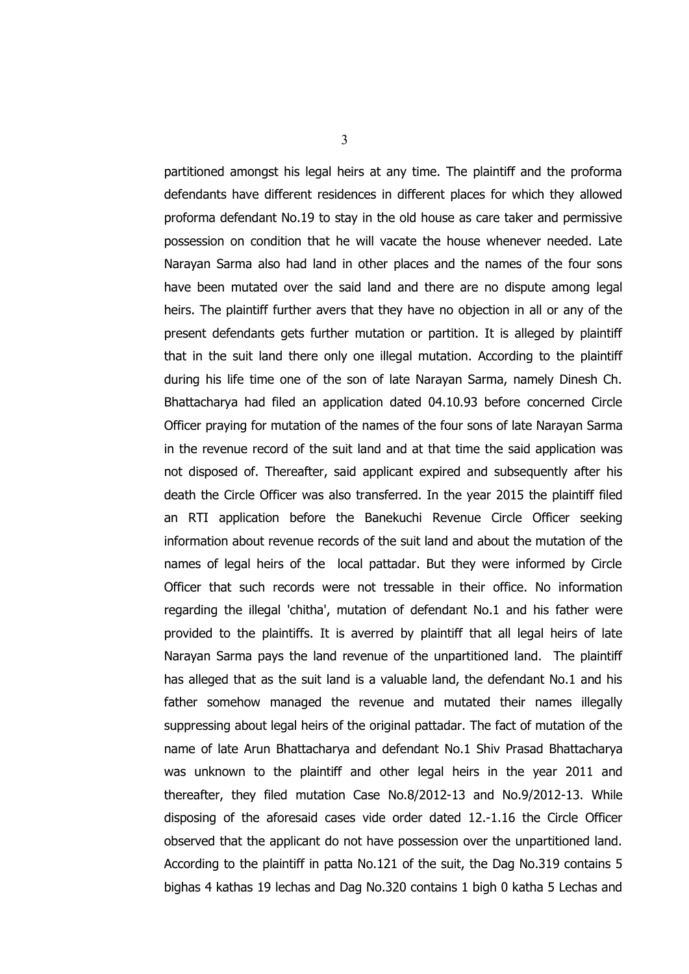partitioned amongst his legal heirs at any time. The plaintiff and the proforma defendants have different residences in different places for which they allowed proforma defendant No.19 to stay in the old house as care taker and permissive possession on condition that he will vacate the house whenever needed. Late Narayan Sarma also had land in other places and the names of the four sons have been mutated over the said land and there are no dispute among legal heirs. The plaintiff further avers that they have no objection in all or any of the present defendants gets further mutation or partition. It is alleged by plaintiff that in the suit land there only one illegal mutation. According to the plaintiff during his life time one of the son of late Narayan Sarma, namely Dinesh Ch. Bhattacharya had filed an application dated 04.10.93 before concerned Circle Officer praying for mutation of the names of the four sons of late Narayan Sarma in the revenue record of the suit land and at that time the said application was not disposed of. Thereafter, said applicant expired and subsequently after his death the Circle Officer was also transferred. In the year 2015 the plaintiff filed an RTI application before the Banekuchi Revenue Circle Officer seeking information about revenue records of the suit land and about the mutation of the names of legal heirs of the local pattadar. But they were informed by Circle Officer that such records were not tressable in their office. No information regarding the illegal 'chitha', mutation of defendant No.1 and his father were provided to the plaintiffs. It is averred by plaintiff that all legal heirs of late Narayan Sarma pays the land revenue of the unpartitioned land. The plaintiff has alleged that as the suit land is a valuable land, the defendant No.1 and his father somehow managed the revenue and mutated their names illegally suppressing about legal heirs of the original pattadar. The fact of mutation of the name of late Arun Bhattacharya and defendant No.1 Shiv Prasad Bhattacharya was unknown to the plaintiff and other legal heirs in the year 2011 and thereafter, they filed mutation Case No.8/2012-13 and No.9/2012-13. While disposing of the aforesaid cases vide order dated 12.-1.16 the Circle Officer observed that the applicant do not have possession over the unpartitioned land. According to the plaintiff in patta No.121 of the suit, the Dag No.319 contains 5 bighas 4 kathas 19 lechas and Dag No.320 contains 1 bigh 0 katha 5 Lechas and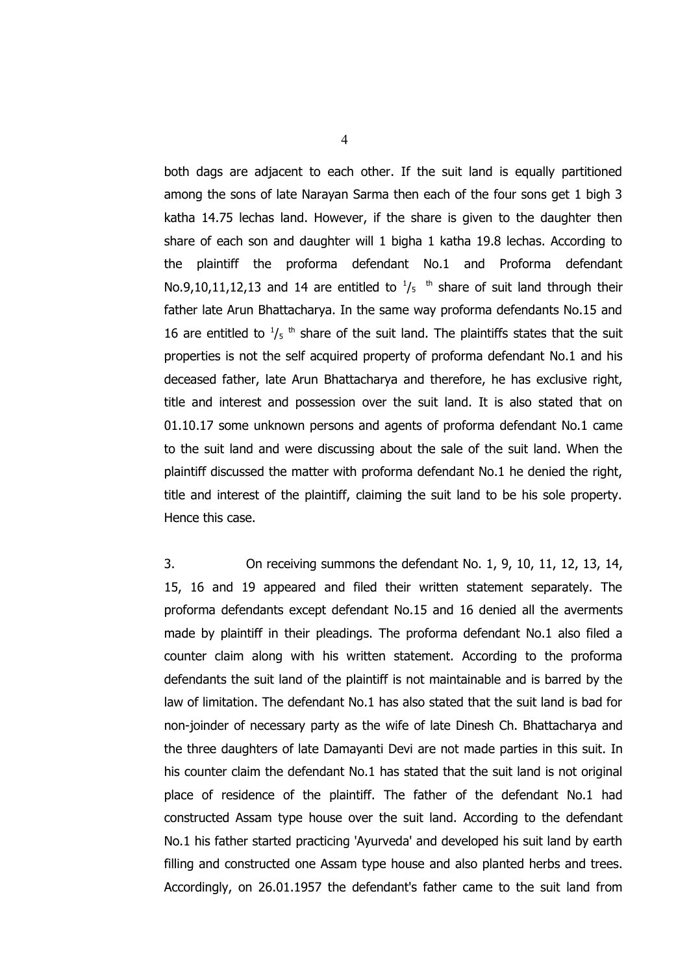both dags are adjacent to each other. If the suit land is equally partitioned among the sons of late Narayan Sarma then each of the four sons get 1 bigh 3 katha 14.75 lechas land. However, if the share is given to the daughter then share of each son and daughter will 1 bigha 1 katha 19.8 lechas. According to the plaintiff the proforma defendant No.1 and Proforma defendant No.9,10,11,12,13 and 14 are entitled to  $\frac{1}{5}$  <sup>th</sup> share of suit land through their father late Arun Bhattacharya. In the same way proforma defendants No.15 and 16 are entitled to  $\frac{1}{5}$ <sup>th</sup> share of the suit land. The plaintiffs states that the suit properties is not the self acquired property of proforma defendant No.1 and his deceased father, late Arun Bhattacharya and therefore, he has exclusive right, title and interest and possession over the suit land. It is also stated that on 01.10.17 some unknown persons and agents of proforma defendant No.1 came to the suit land and were discussing about the sale of the suit land. When the plaintiff discussed the matter with proforma defendant No.1 he denied the right, title and interest of the plaintiff, claiming the suit land to be his sole property. Hence this case.

3. On receiving summons the defendant No. 1, 9, 10, 11, 12, 13, 14, 15, 16 and 19 appeared and filed their written statement separately. The proforma defendants except defendant No.15 and 16 denied all the averments made by plaintiff in their pleadings. The proforma defendant No.1 also filed a counter claim along with his written statement. According to the proforma defendants the suit land of the plaintiff is not maintainable and is barred by the law of limitation. The defendant No.1 has also stated that the suit land is bad for non-joinder of necessary party as the wife of late Dinesh Ch. Bhattacharya and the three daughters of late Damayanti Devi are not made parties in this suit. In his counter claim the defendant No.1 has stated that the suit land is not original place of residence of the plaintiff. The father of the defendant No.1 had constructed Assam type house over the suit land. According to the defendant No.1 his father started practicing 'Ayurveda' and developed his suit land by earth filling and constructed one Assam type house and also planted herbs and trees. Accordingly, on 26.01.1957 the defendant's father came to the suit land from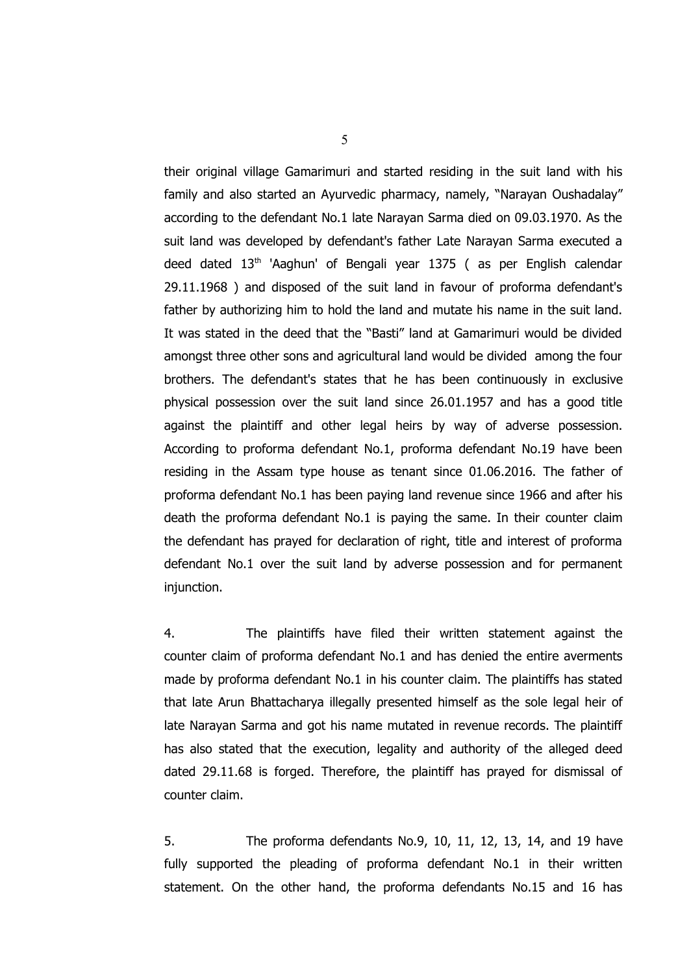their original village Gamarimuri and started residing in the suit land with his family and also started an Ayurvedic pharmacy, namely, "Narayan Oushadalay" according to the defendant No.1 late Narayan Sarma died on 09.03.1970. As the suit land was developed by defendant's father Late Narayan Sarma executed a deed dated  $13<sup>th</sup>$  'Aaghun' of Bengali year 1375 (as per English calendar 29.11.1968 ) and disposed of the suit land in favour of proforma defendant's father by authorizing him to hold the land and mutate his name in the suit land. It was stated in the deed that the "Basti" land at Gamarimuri would be divided amongst three other sons and agricultural land would be divided among the four brothers. The defendant's states that he has been continuously in exclusive physical possession over the suit land since 26.01.1957 and has a good title against the plaintiff and other legal heirs by way of adverse possession. According to proforma defendant No.1, proforma defendant No.19 have been residing in the Assam type house as tenant since 01.06.2016. The father of proforma defendant No.1 has been paying land revenue since 1966 and after his death the proforma defendant No.1 is paying the same. In their counter claim the defendant has prayed for declaration of right, title and interest of proforma defendant No.1 over the suit land by adverse possession and for permanent injunction.

4. The plaintiffs have filed their written statement against the counter claim of proforma defendant No.1 and has denied the entire averments made by proforma defendant No.1 in his counter claim. The plaintiffs has stated that late Arun Bhattacharya illegally presented himself as the sole legal heir of late Narayan Sarma and got his name mutated in revenue records. The plaintiff has also stated that the execution, legality and authority of the alleged deed dated 29.11.68 is forged. Therefore, the plaintiff has prayed for dismissal of counter claim.

5. The proforma defendants No.9, 10, 11, 12, 13, 14, and 19 have fully supported the pleading of proforma defendant No.1 in their written statement. On the other hand, the proforma defendants No.15 and 16 has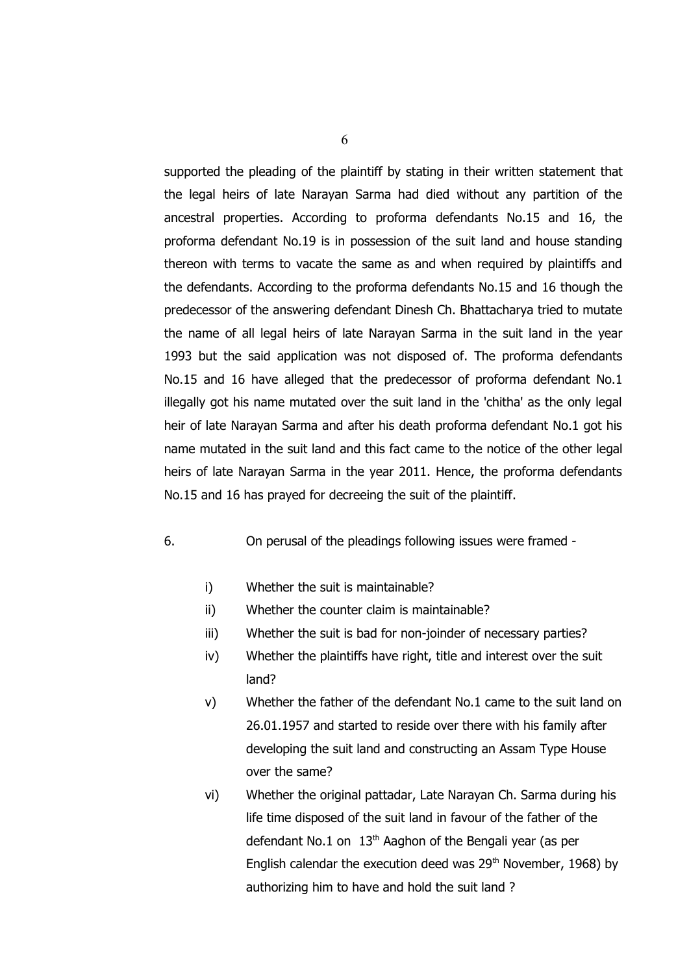supported the pleading of the plaintiff by stating in their written statement that the legal heirs of late Narayan Sarma had died without any partition of the ancestral properties. According to proforma defendants No.15 and 16, the proforma defendant No.19 is in possession of the suit land and house standing thereon with terms to vacate the same as and when required by plaintiffs and the defendants. According to the proforma defendants No.15 and 16 though the predecessor of the answering defendant Dinesh Ch. Bhattacharya tried to mutate the name of all legal heirs of late Narayan Sarma in the suit land in the year 1993 but the said application was not disposed of. The proforma defendants No.15 and 16 have alleged that the predecessor of proforma defendant No.1 illegally got his name mutated over the suit land in the 'chitha' as the only legal heir of late Narayan Sarma and after his death proforma defendant No.1 got his name mutated in the suit land and this fact came to the notice of the other legal heirs of late Narayan Sarma in the year 2011. Hence, the proforma defendants No.15 and 16 has prayed for decreeing the suit of the plaintiff.

# 6. On perusal of the pleadings following issues were framed -

- i) Whether the suit is maintainable?
- ii) Whether the counter claim is maintainable?
- iii) Whether the suit is bad for non-joinder of necessary parties?
- iv) Whether the plaintiffs have right, title and interest over the suit land?
- v) Whether the father of the defendant No.1 came to the suit land on 26.01.1957 and started to reside over there with his family after developing the suit land and constructing an Assam Type House over the same?
- vi) Whether the original pattadar, Late Narayan Ch. Sarma during his life time disposed of the suit land in favour of the father of the defendant No.1 on  $13<sup>th</sup>$  Aaghon of the Bengali year (as per English calendar the execution deed was  $29<sup>th</sup>$  November, 1968) by authorizing him to have and hold the suit land ?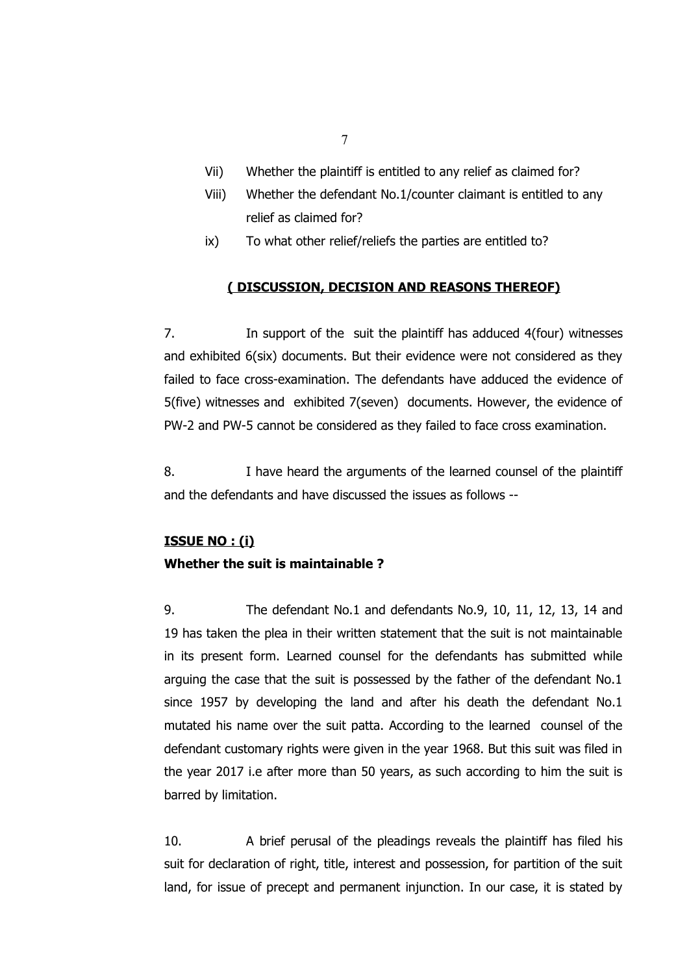- Vii) Whether the plaintiff is entitled to any relief as claimed for?
- Viii) Whether the defendant No.1/counter claimant is entitled to any relief as claimed for?
- ix) To what other relief/reliefs the parties are entitled to?

# **( DISCUSSION, DECISION AND REASONS THEREOF)**

7. In support of the suit the plaintiff has adduced 4(four) witnesses and exhibited 6(six) documents. But their evidence were not considered as they failed to face cross-examination. The defendants have adduced the evidence of 5(five) witnesses and exhibited 7(seven) documents. However, the evidence of PW-2 and PW-5 cannot be considered as they failed to face cross examination.

8. I have heard the arguments of the learned counsel of the plaintiff and the defendants and have discussed the issues as follows --

# **ISSUE NO : (i) Whether the suit is maintainable ?**

9. The defendant No.1 and defendants No.9, 10, 11, 12, 13, 14 and 19 has taken the plea in their written statement that the suit is not maintainable in its present form. Learned counsel for the defendants has submitted while arguing the case that the suit is possessed by the father of the defendant No.1 since 1957 by developing the land and after his death the defendant No.1 mutated his name over the suit patta. According to the learned counsel of the defendant customary rights were given in the year 1968. But this suit was filed in the year 2017 i.e after more than 50 years, as such according to him the suit is barred by limitation.

10. A brief perusal of the pleadings reveals the plaintiff has filed his suit for declaration of right, title, interest and possession, for partition of the suit land, for issue of precept and permanent injunction. In our case, it is stated by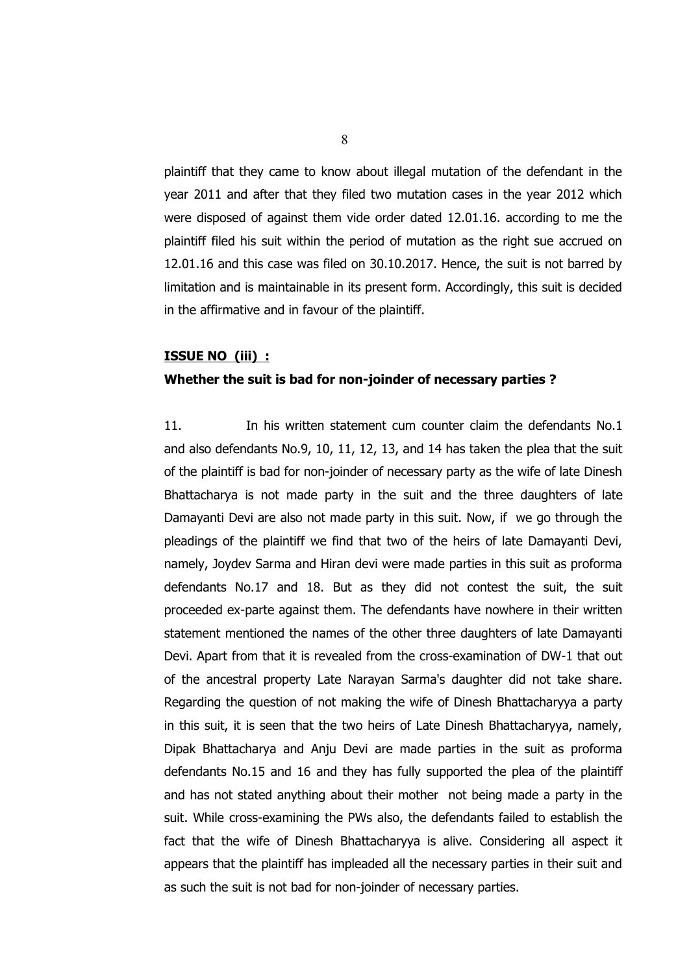plaintiff that they came to know about illegal mutation of the defendant in the year 2011 and after that they filed two mutation cases in the year 2012 which were disposed of against them vide order dated 12.01.16. according to me the plaintiff filed his suit within the period of mutation as the right sue accrued on 12.01.16 and this case was filed on 30.10.2017. Hence, the suit is not barred by limitation and is maintainable in its present form. Accordingly, this suit is decided in the affirmative and in favour of the plaintiff.

#### **ISSUE NO (iii) :**

#### **Whether the suit is bad for non-joinder of necessary parties ?**

11. In his written statement cum counter claim the defendants No.1 and also defendants No.9, 10, 11, 12, 13, and 14 has taken the plea that the suit of the plaintiff is bad for non-joinder of necessary party as the wife of late Dinesh Bhattacharya is not made party in the suit and the three daughters of late Damayanti Devi are also not made party in this suit. Now, if we go through the pleadings of the plaintiff we find that two of the heirs of late Damayanti Devi, namely, Joydev Sarma and Hiran devi were made parties in this suit as proforma defendants No.17 and 18. But as they did not contest the suit, the suit proceeded ex-parte against them. The defendants have nowhere in their written statement mentioned the names of the other three daughters of late Damayanti Devi. Apart from that it is revealed from the cross-examination of DW-1 that out of the ancestral property Late Narayan Sarma's daughter did not take share. Regarding the question of not making the wife of Dinesh Bhattacharyya a party in this suit, it is seen that the two heirs of Late Dinesh Bhattacharyya, namely, Dipak Bhattacharya and Anju Devi are made parties in the suit as proforma defendants No.15 and 16 and they has fully supported the plea of the plaintiff and has not stated anything about their mother not being made a party in the suit. While cross-examining the PWs also, the defendants failed to establish the fact that the wife of Dinesh Bhattacharyya is alive. Considering all aspect it appears that the plaintiff has impleaded all the necessary parties in their suit and as such the suit is not bad for non-joinder of necessary parties.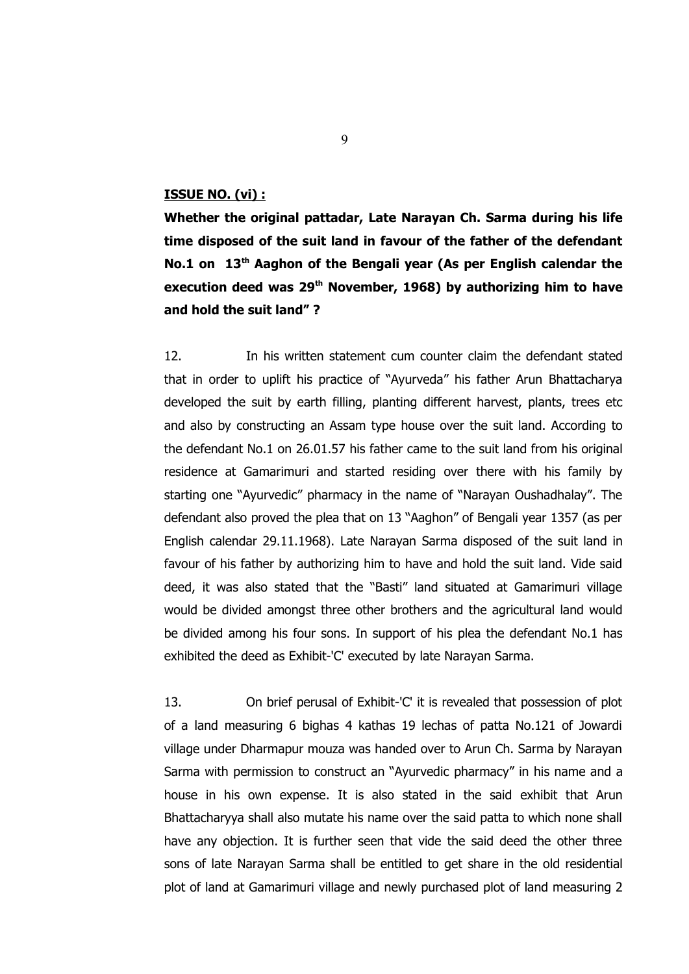### **ISSUE NO. (vi) :**

**Whether the original pattadar, Late Narayan Ch. Sarma during his life time disposed of the suit land in favour of the father of the defendant No.1 on 13th Aaghon of the Bengali year (As per English calendar the execution deed was 29th November, 1968) by authorizing him to have and hold the suit land" ?**

12. In his written statement cum counter claim the defendant stated that in order to uplift his practice of "Ayurveda" his father Arun Bhattacharya developed the suit by earth filling, planting different harvest, plants, trees etc and also by constructing an Assam type house over the suit land. According to the defendant No.1 on 26.01.57 his father came to the suit land from his original residence at Gamarimuri and started residing over there with his family by starting one "Ayurvedic" pharmacy in the name of "Narayan Oushadhalay". The defendant also proved the plea that on 13 "Aaghon" of Bengali year 1357 (as per English calendar 29.11.1968). Late Narayan Sarma disposed of the suit land in favour of his father by authorizing him to have and hold the suit land. Vide said deed, it was also stated that the "Basti" land situated at Gamarimuri village would be divided amongst three other brothers and the agricultural land would be divided among his four sons. In support of his plea the defendant No.1 has exhibited the deed as Exhibit-'C' executed by late Narayan Sarma.

13. On brief perusal of Exhibit-'C' it is revealed that possession of plot of a land measuring 6 bighas 4 kathas 19 lechas of patta No.121 of Jowardi village under Dharmapur mouza was handed over to Arun Ch. Sarma by Narayan Sarma with permission to construct an "Ayurvedic pharmacy" in his name and a house in his own expense. It is also stated in the said exhibit that Arun Bhattacharyya shall also mutate his name over the said patta to which none shall have any objection. It is further seen that vide the said deed the other three sons of late Narayan Sarma shall be entitled to get share in the old residential plot of land at Gamarimuri village and newly purchased plot of land measuring 2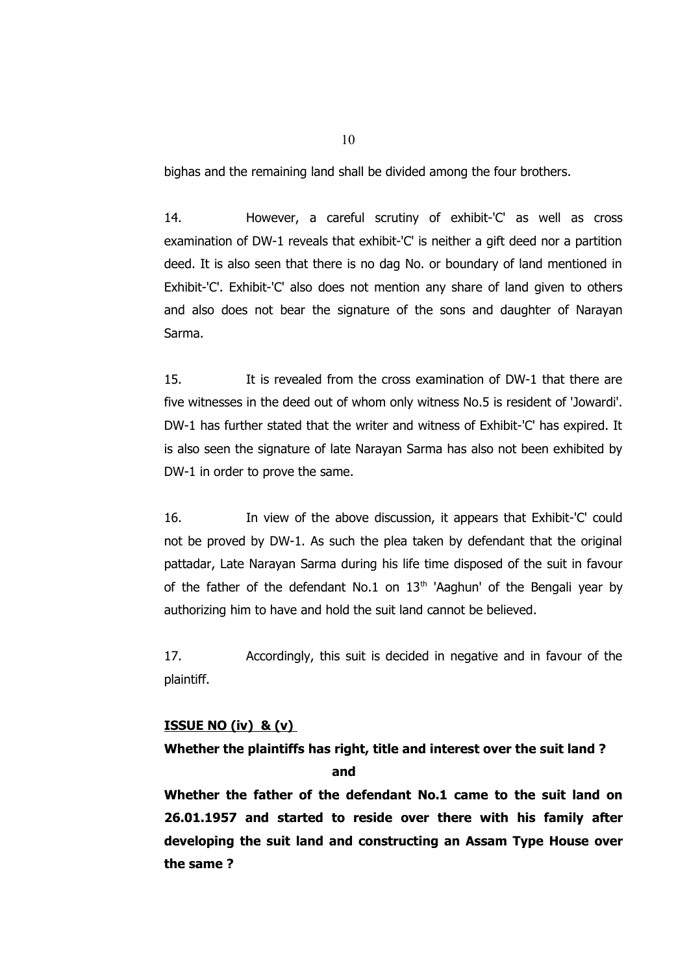bighas and the remaining land shall be divided among the four brothers.

14. However, a careful scrutiny of exhibit-'C' as well as cross examination of DW-1 reveals that exhibit-'C' is neither a gift deed nor a partition deed. It is also seen that there is no dag No. or boundary of land mentioned in Exhibit-'C'. Exhibit-'C' also does not mention any share of land given to others and also does not bear the signature of the sons and daughter of Narayan Sarma.

15. It is revealed from the cross examination of DW-1 that there are five witnesses in the deed out of whom only witness No.5 is resident of 'Jowardi'. DW-1 has further stated that the writer and witness of Exhibit-'C' has expired. It is also seen the signature of late Narayan Sarma has also not been exhibited by DW-1 in order to prove the same.

16. In view of the above discussion, it appears that Exhibit-'C' could not be proved by DW-1. As such the plea taken by defendant that the original pattadar, Late Narayan Sarma during his life time disposed of the suit in favour of the father of the defendant No.1 on  $13<sup>th</sup>$  'Aaghun' of the Bengali year by authorizing him to have and hold the suit land cannot be believed.

17. Accordingly, this suit is decided in negative and in favour of the plaintiff.

#### **ISSUE NO (iv) & (v)**

#### **Whether the plaintiffs has right, title and interest over the suit land ?**

*and* and **and** 

**Whether the father of the defendant No.1 came to the suit land on 26.01.1957 and started to reside over there with his family after developing the suit land and constructing an Assam Type House over the same ?**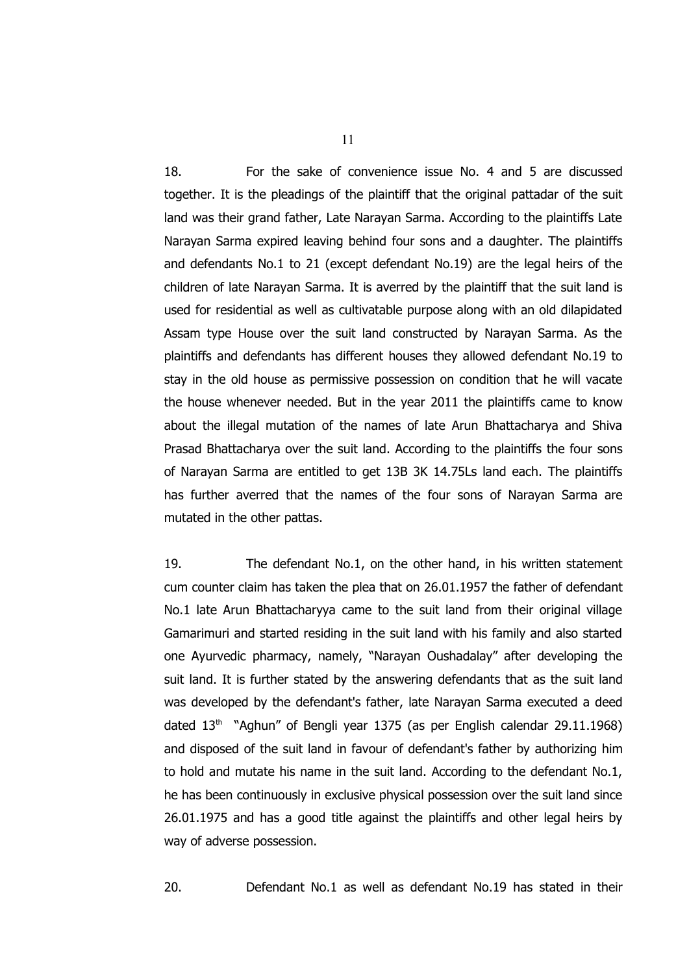18. For the sake of convenience issue No. 4 and 5 are discussed together. It is the pleadings of the plaintiff that the original pattadar of the suit land was their grand father, Late Narayan Sarma. According to the plaintiffs Late Narayan Sarma expired leaving behind four sons and a daughter. The plaintiffs and defendants No.1 to 21 (except defendant No.19) are the legal heirs of the children of late Narayan Sarma. It is averred by the plaintiff that the suit land is used for residential as well as cultivatable purpose along with an old dilapidated Assam type House over the suit land constructed by Narayan Sarma. As the plaintiffs and defendants has different houses they allowed defendant No.19 to stay in the old house as permissive possession on condition that he will vacate the house whenever needed. But in the year 2011 the plaintiffs came to know about the illegal mutation of the names of late Arun Bhattacharya and Shiva Prasad Bhattacharya over the suit land. According to the plaintiffs the four sons of Narayan Sarma are entitled to get 13B 3K 14.75Ls land each. The plaintiffs has further averred that the names of the four sons of Narayan Sarma are mutated in the other pattas.

19. The defendant No.1, on the other hand, in his written statement cum counter claim has taken the plea that on 26.01.1957 the father of defendant No.1 late Arun Bhattacharyya came to the suit land from their original village Gamarimuri and started residing in the suit land with his family and also started one Ayurvedic pharmacy, namely, "Narayan Oushadalay" after developing the suit land. It is further stated by the answering defendants that as the suit land was developed by the defendant's father, late Narayan Sarma executed a deed dated  $13<sup>th</sup>$  "Aghun" of Bengli year 1375 (as per English calendar 29.11.1968) and disposed of the suit land in favour of defendant's father by authorizing him to hold and mutate his name in the suit land. According to the defendant No.1, he has been continuously in exclusive physical possession over the suit land since 26.01.1975 and has a good title against the plaintiffs and other legal heirs by way of adverse possession.

20. Defendant No.1 as well as defendant No.19 has stated in their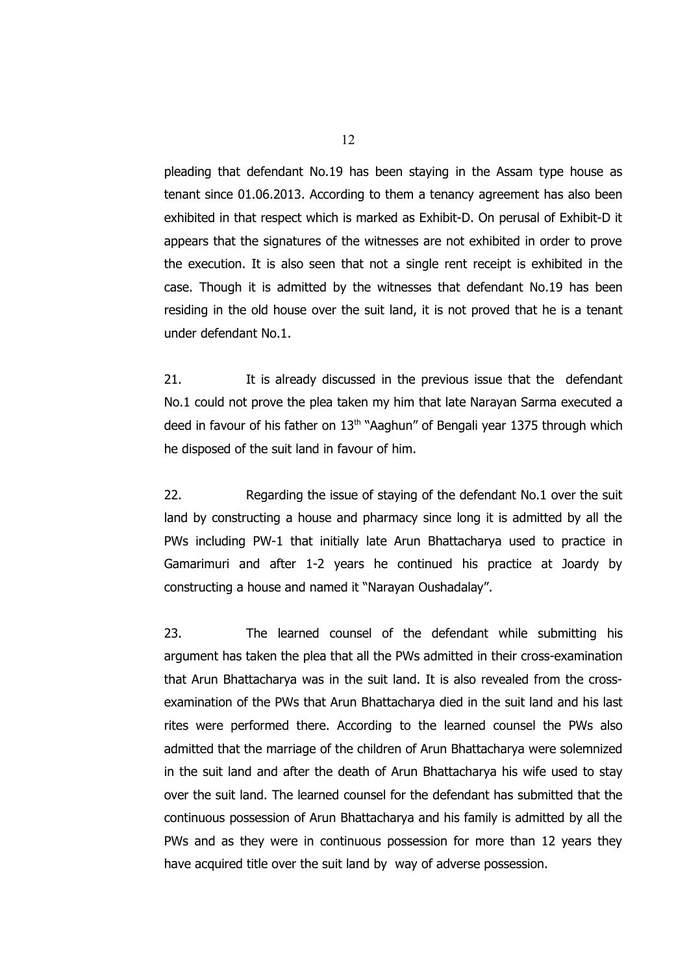pleading that defendant No.19 has been staying in the Assam type house as tenant since 01.06.2013. According to them a tenancy agreement has also been exhibited in that respect which is marked as Exhibit-D. On perusal of Exhibit-D it appears that the signatures of the witnesses are not exhibited in order to prove the execution. It is also seen that not a single rent receipt is exhibited in the case. Though it is admitted by the witnesses that defendant No.19 has been residing in the old house over the suit land, it is not proved that he is a tenant under defendant No.1.

21. It is already discussed in the previous issue that the defendant No.1 could not prove the plea taken my him that late Narayan Sarma executed a deed in favour of his father on  $13<sup>th</sup>$  "Aaghun" of Bengali year 1375 through which he disposed of the suit land in favour of him.

22. Regarding the issue of staying of the defendant No.1 over the suit land by constructing a house and pharmacy since long it is admitted by all the PWs including PW-1 that initially late Arun Bhattacharya used to practice in Gamarimuri and after 1-2 years he continued his practice at Joardy by constructing a house and named it "Narayan Oushadalay".

23. The learned counsel of the defendant while submitting his argument has taken the plea that all the PWs admitted in their cross-examination that Arun Bhattacharya was in the suit land. It is also revealed from the crossexamination of the PWs that Arun Bhattacharya died in the suit land and his last rites were performed there. According to the learned counsel the PWs also admitted that the marriage of the children of Arun Bhattacharya were solemnized in the suit land and after the death of Arun Bhattacharya his wife used to stay over the suit land. The learned counsel for the defendant has submitted that the continuous possession of Arun Bhattacharya and his family is admitted by all the PWs and as they were in continuous possession for more than 12 years they have acquired title over the suit land by way of adverse possession.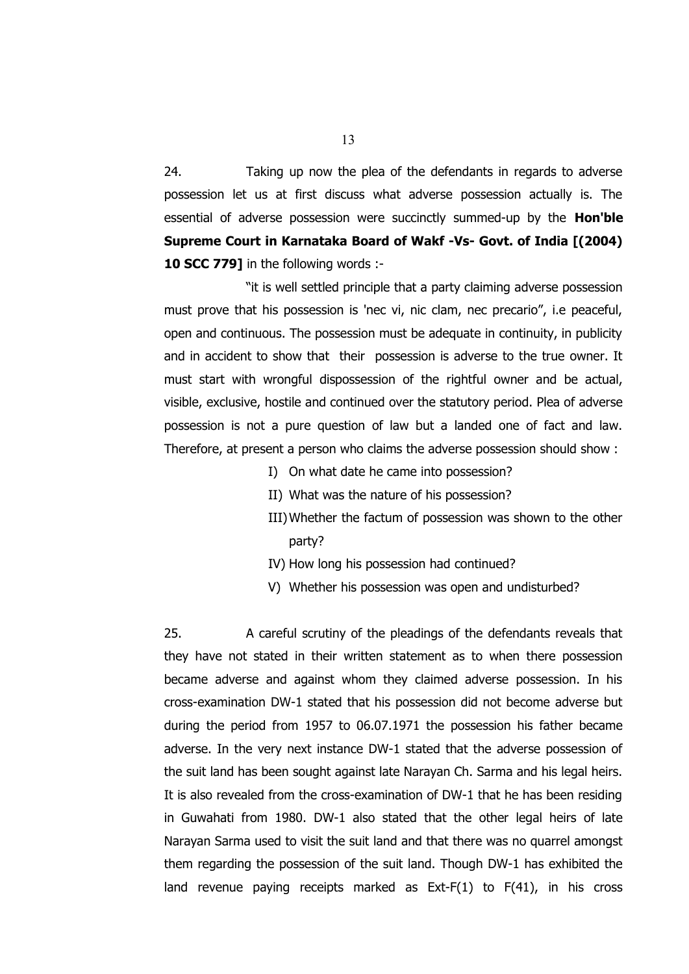24. Taking up now the plea of the defendants in regards to adverse possession let us at first discuss what adverse possession actually is. The essential of adverse possession were succinctly summed-up by the **Hon'ble Supreme Court in Karnataka Board of Wakf -Vs- Govt. of India [(2004) 10 SCC 779]** in the following words :-

"it is well settled principle that a party claiming adverse possession must prove that his possession is 'nec vi, nic clam, nec precario", i.e peaceful, open and continuous. The possession must be adequate in continuity, in publicity and in accident to show that their possession is adverse to the true owner. It must start with wrongful dispossession of the rightful owner and be actual, visible, exclusive, hostile and continued over the statutory period. Plea of adverse possession is not a pure question of law but a landed one of fact and law. Therefore, at present a person who claims the adverse possession should show :

- I) On what date he came into possession?
- II) What was the nature of his possession?
- III)Whether the factum of possession was shown to the other party?
- IV) How long his possession had continued?
- V) Whether his possession was open and undisturbed?

25. A careful scrutiny of the pleadings of the defendants reveals that they have not stated in their written statement as to when there possession became adverse and against whom they claimed adverse possession. In his cross-examination DW-1 stated that his possession did not become adverse but during the period from 1957 to 06.07.1971 the possession his father became adverse. In the very next instance DW-1 stated that the adverse possession of the suit land has been sought against late Narayan Ch. Sarma and his legal heirs. It is also revealed from the cross-examination of DW-1 that he has been residing in Guwahati from 1980. DW-1 also stated that the other legal heirs of late Narayan Sarma used to visit the suit land and that there was no quarrel amongst them regarding the possession of the suit land. Though DW-1 has exhibited the land revenue paying receipts marked as Ext-F(1) to F(41), in his cross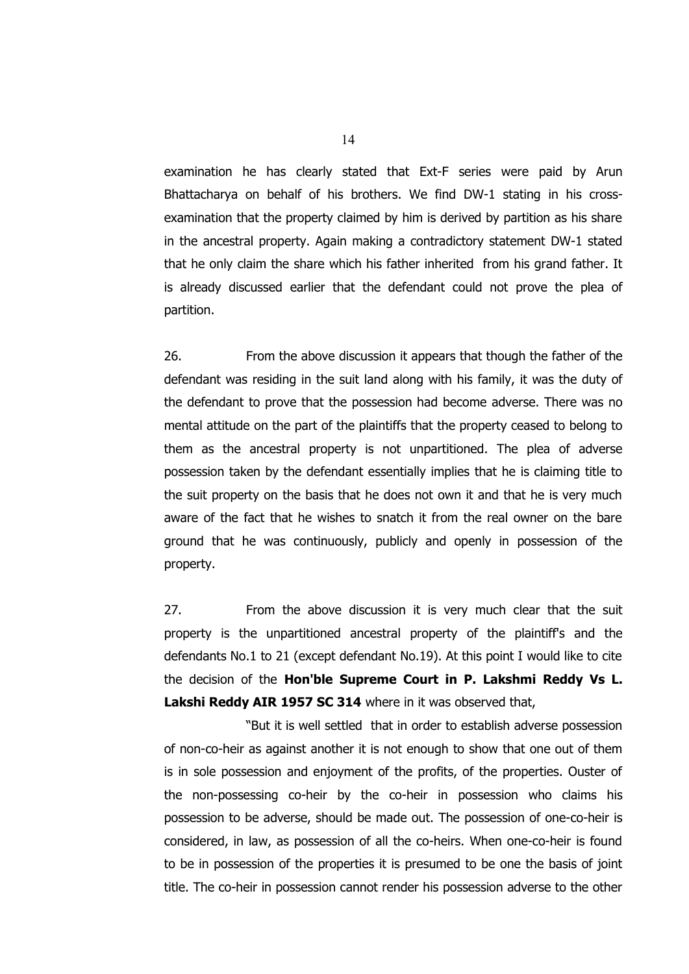examination he has clearly stated that Ext-F series were paid by Arun Bhattacharya on behalf of his brothers. We find DW-1 stating in his crossexamination that the property claimed by him is derived by partition as his share in the ancestral property. Again making a contradictory statement DW-1 stated that he only claim the share which his father inherited from his grand father. It is already discussed earlier that the defendant could not prove the plea of partition.

26. From the above discussion it appears that though the father of the defendant was residing in the suit land along with his family, it was the duty of the defendant to prove that the possession had become adverse. There was no mental attitude on the part of the plaintiffs that the property ceased to belong to them as the ancestral property is not unpartitioned. The plea of adverse possession taken by the defendant essentially implies that he is claiming title to the suit property on the basis that he does not own it and that he is very much aware of the fact that he wishes to snatch it from the real owner on the bare ground that he was continuously, publicly and openly in possession of the property.

27. From the above discussion it is very much clear that the suit property is the unpartitioned ancestral property of the plaintiff's and the defendants No.1 to 21 (except defendant No.19). At this point I would like to cite the decision of the **Hon'ble Supreme Court in P. Lakshmi Reddy Vs L.** Lakshi Reddy AIR 1957 SC 314 where in it was observed that,

"But it is well settled that in order to establish adverse possession of non-co-heir as against another it is not enough to show that one out of them is in sole possession and enjoyment of the profits, of the properties. Ouster of the non-possessing co-heir by the co-heir in possession who claims his possession to be adverse, should be made out. The possession of one-co-heir is considered, in law, as possession of all the co-heirs. When one-co-heir is found to be in possession of the properties it is presumed to be one the basis of joint title. The co-heir in possession cannot render his possession adverse to the other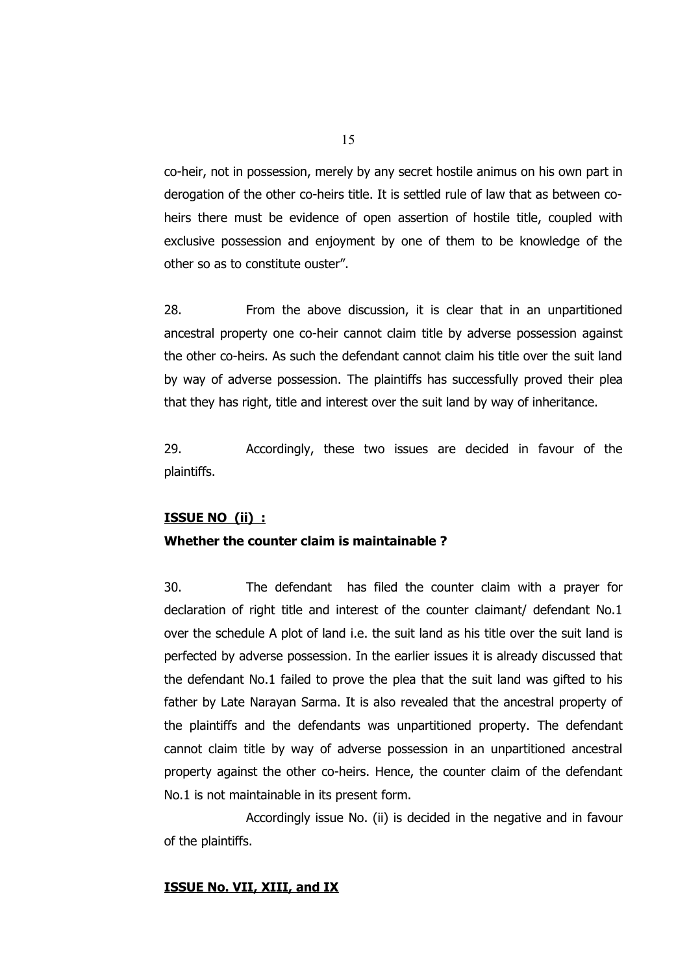co-heir, not in possession, merely by any secret hostile animus on his own part in derogation of the other co-heirs title. It is settled rule of law that as between coheirs there must be evidence of open assertion of hostile title, coupled with exclusive possession and enjoyment by one of them to be knowledge of the other so as to constitute ouster".

28. From the above discussion, it is clear that in an unpartitioned ancestral property one co-heir cannot claim title by adverse possession against the other co-heirs. As such the defendant cannot claim his title over the suit land by way of adverse possession. The plaintiffs has successfully proved their plea that they has right, title and interest over the suit land by way of inheritance.

29. Accordingly, these two issues are decided in favour of the plaintiffs.

## **ISSUE NO (ii) :**

### **Whether the counter claim is maintainable ?**

30. The defendant has filed the counter claim with a prayer for declaration of right title and interest of the counter claimant/ defendant No.1 over the schedule A plot of land i.e. the suit land as his title over the suit land is perfected by adverse possession. In the earlier issues it is already discussed that the defendant No.1 failed to prove the plea that the suit land was gifted to his father by Late Narayan Sarma. It is also revealed that the ancestral property of the plaintiffs and the defendants was unpartitioned property. The defendant cannot claim title by way of adverse possession in an unpartitioned ancestral property against the other co-heirs. Hence, the counter claim of the defendant No.1 is not maintainable in its present form.

Accordingly issue No. (ii) is decided in the negative and in favour of the plaintiffs.

#### **ISSUE No. VII, XIII, and IX**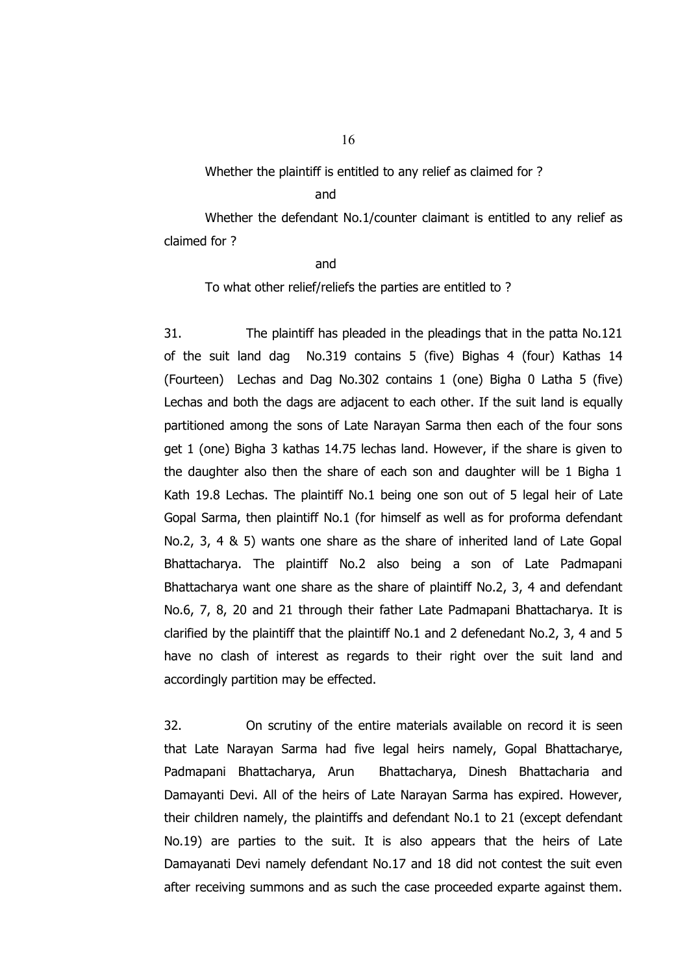Whether the plaintiff is entitled to any relief as claimed for ?

#### and

Whether the defendant No.1/counter claimant is entitled to any relief as claimed for ?

#### and

To what other relief/reliefs the parties are entitled to ?

31. The plaintiff has pleaded in the pleadings that in the patta No.121 of the suit land dag No.319 contains 5 (five) Bighas 4 (four) Kathas 14 (Fourteen) Lechas and Dag No.302 contains 1 (one) Bigha 0 Latha 5 (five) Lechas and both the dags are adjacent to each other. If the suit land is equally partitioned among the sons of Late Narayan Sarma then each of the four sons get 1 (one) Bigha 3 kathas 14.75 lechas land. However, if the share is given to the daughter also then the share of each son and daughter will be 1 Bigha 1 Kath 19.8 Lechas. The plaintiff No.1 being one son out of 5 legal heir of Late Gopal Sarma, then plaintiff No.1 (for himself as well as for proforma defendant No.2, 3, 4 & 5) wants one share as the share of inherited land of Late Gopal Bhattacharya. The plaintiff No.2 also being a son of Late Padmapani Bhattacharya want one share as the share of plaintiff No.2, 3, 4 and defendant No.6, 7, 8, 20 and 21 through their father Late Padmapani Bhattacharya. It is clarified by the plaintiff that the plaintiff No.1 and 2 defenedant No.2, 3, 4 and 5 have no clash of interest as regards to their right over the suit land and accordingly partition may be effected.

32. On scrutiny of the entire materials available on record it is seen that Late Narayan Sarma had five legal heirs namely, Gopal Bhattacharye, Padmapani Bhattacharya, Arun Bhattacharya, Dinesh Bhattacharia and Damayanti Devi. All of the heirs of Late Narayan Sarma has expired. However, their children namely, the plaintiffs and defendant No.1 to 21 (except defendant No.19) are parties to the suit. It is also appears that the heirs of Late Damayanati Devi namely defendant No.17 and 18 did not contest the suit even after receiving summons and as such the case proceeded exparte against them.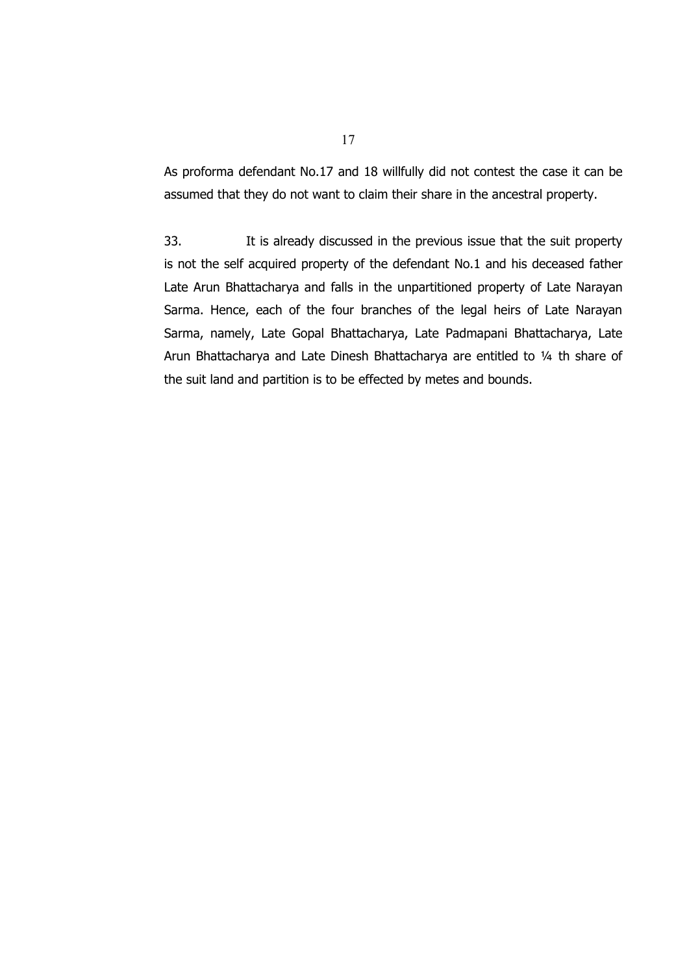As proforma defendant No.17 and 18 willfully did not contest the case it can be assumed that they do not want to claim their share in the ancestral property.

33. It is already discussed in the previous issue that the suit property is not the self acquired property of the defendant No.1 and his deceased father Late Arun Bhattacharya and falls in the unpartitioned property of Late Narayan Sarma. Hence, each of the four branches of the legal heirs of Late Narayan Sarma, namely, Late Gopal Bhattacharya, Late Padmapani Bhattacharya, Late Arun Bhattacharya and Late Dinesh Bhattacharya are entitled to ¼ th share of the suit land and partition is to be effected by metes and bounds.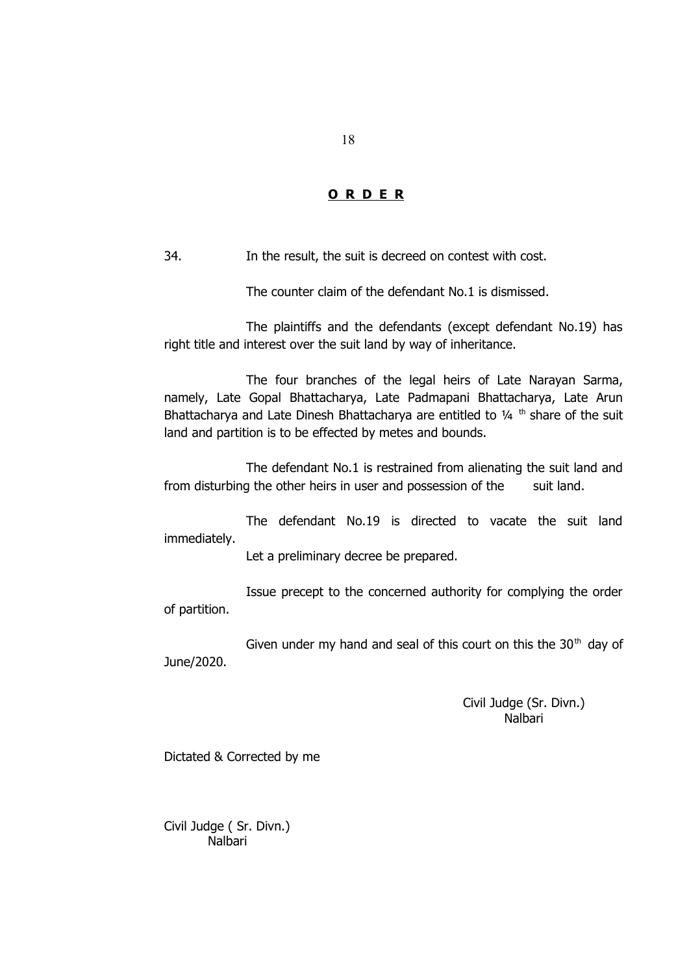## **O R D E R**

34. In the result, the suit is decreed on contest with cost.

The counter claim of the defendant No.1 is dismissed.

The plaintiffs and the defendants (except defendant No.19) has right title and interest over the suit land by way of inheritance.

The four branches of the legal heirs of Late Narayan Sarma, namely, Late Gopal Bhattacharya, Late Padmapani Bhattacharya, Late Arun Bhattacharya and Late Dinesh Bhattacharya are entitled to  $1/4$ <sup>th</sup> share of the suit land and partition is to be effected by metes and bounds.

The defendant No.1 is restrained from alienating the suit land and from disturbing the other heirs in user and possession of the suit land.

The defendant No.19 is directed to vacate the suit land immediately.

Let a preliminary decree be prepared.

Issue precept to the concerned authority for complying the order of partition.

Given under my hand and seal of this court on this the  $30<sup>th</sup>$  day of June/2020.

> Civil Judge (Sr. Divn.) Nalbari

Dictated & Corrected by me

Civil Judge ( Sr. Divn.) Nalbari